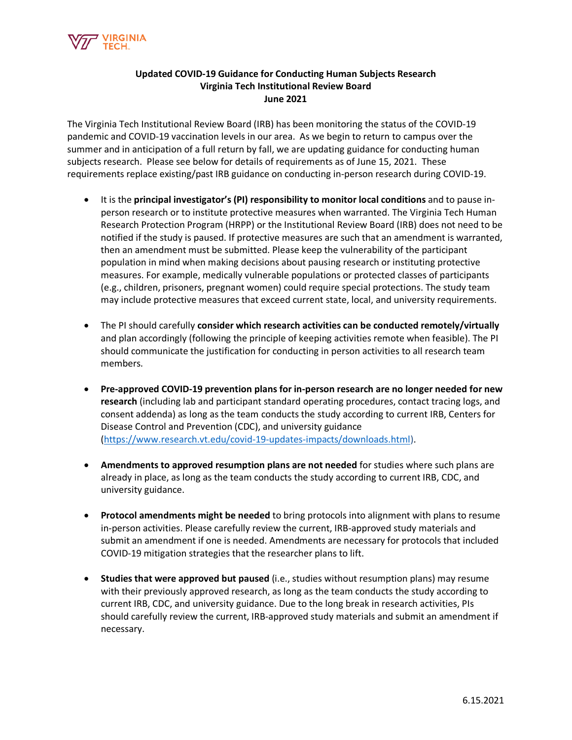

## **Updated COVID-19 Guidance for Conducting Human Subjects Research Virginia Tech Institutional Review Board June 2021**

The Virginia Tech Institutional Review Board (IRB) has been monitoring the status of the COVID-19 pandemic and COVID-19 vaccination levels in our area. As we begin to return to campus over the summer and in anticipation of a full return by fall, we are updating guidance for conducting human subjects research. Please see below for details of requirements as of June 15, 2021. These requirements replace existing/past IRB guidance on conducting in-person research during COVID-19.

- It is the **principal investigator's (PI) responsibility to monitor local conditions** and to pause inperson research or to institute protective measures when warranted. The Virginia Tech Human Research Protection Program (HRPP) or the Institutional Review Board (IRB) does not need to be notified if the study is paused. If protective measures are such that an amendment is warranted, then an amendment must be submitted. Please keep the vulnerability of the participant population in mind when making decisions about pausing research or instituting protective measures. For example, medically vulnerable populations or protected classes of participants (e.g., children, prisoners, pregnant women) could require special protections. The study team may include protective measures that exceed current state, local, and university requirements.
- The PI should carefully **consider which research activities can be conducted remotely/virtually**  and plan accordingly (following the principle of keeping activities remote when feasible). The PI should communicate the justification for conducting in person activities to all research team members.
- **Pre-approved COVID-19 prevention plans for in-person research are no longer needed for new research** (including lab and participant standard operating procedures, contact tracing logs, and consent addenda) as long as the team conducts the study according to current IRB, Centers for Disease Control and Prevention (CDC), and university guidance [\(https://www.research.vt.edu/covid-19-updates-impacts/downloads.html\)](https://www.research.vt.edu/covid-19-updates-impacts/downloads.html).
- **Amendments to approved resumption plans are not needed** for studies where such plans are already in place, as long as the team conducts the study according to current IRB, CDC, and university guidance.
- **Protocol amendments might be needed** to bring protocols into alignment with plans to resume in-person activities. Please carefully review the current, IRB-approved study materials and submit an amendment if one is needed. Amendments are necessary for protocols that included COVID-19 mitigation strategies that the researcher plans to lift.
- **Studies that were approved but paused** (i.e., studies without resumption plans) may resume with their previously approved research, as long as the team conducts the study according to current IRB, CDC, and university guidance. Due to the long break in research activities, PIs should carefully review the current, IRB-approved study materials and submit an amendment if necessary.